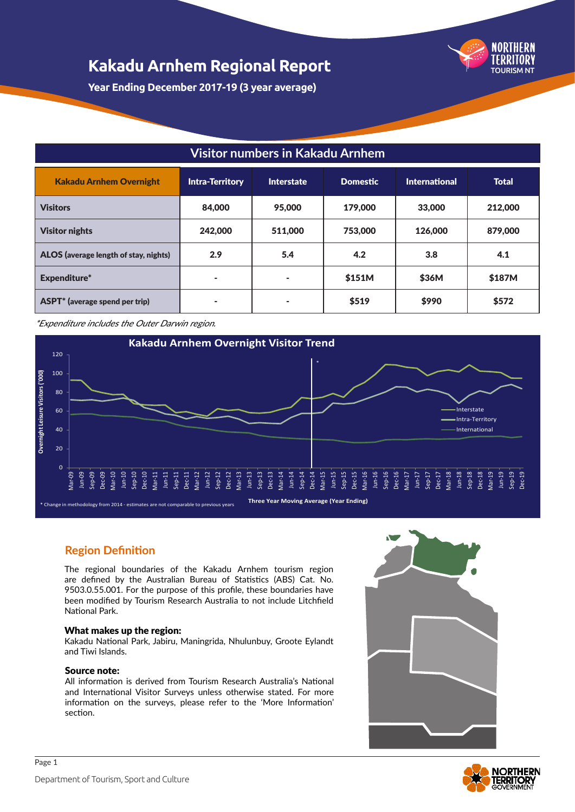

**Year Ending December 2017-19 (3 year average)**

#### **Visitor numbers in Kakadu Arnhem**

| <b>Kakadu Arnhem Overnight</b>        | <b>Intra-Territory</b> | Interstate | <b>Domestic</b> | <b>International</b> | <b>Total</b> |
|---------------------------------------|------------------------|------------|-----------------|----------------------|--------------|
| <b>Visitors</b>                       | 84,000                 | 95,000     | 179,000         | 33,000               | 212,000      |
| <b>Visitor nights</b>                 | 242,000                | 511,000    | 753,000         | 126,000              | 879,000      |
| ALOS (average length of stay, nights) | 2.9                    | 5.4        | 4.2             | 3.8                  | 4.1          |
| Expenditure*                          | ۰                      | ۰          | \$151M          | \$36M                | \$187M       |
| ASPT* (average spend per trip)        | ۰                      | ۰          | \$519           | \$990                | \$572        |

\*Expenditure includes the Outer Darwin region.



#### **Region Definition**

The regional boundaries of the Kakadu Arnhem tourism region are defined by the Australian Bureau of Statistics (ABS) Cat. No. 9503.0.55.001. For the purpose of this profile, these boundaries have been modified by Tourism Research Australia to not include Litchfield National Park.

#### What makes up the region:

Kakadu National Park, Jabiru, Maningrida, Nhulunbuy, Groote Eylandt and Tiwi Islands.

#### Source note:

All information is derived from Tourism Research Australia's National and International Visitor Surveys unless otherwise stated. For more information on the surveys, please refer to the 'More Information' section.



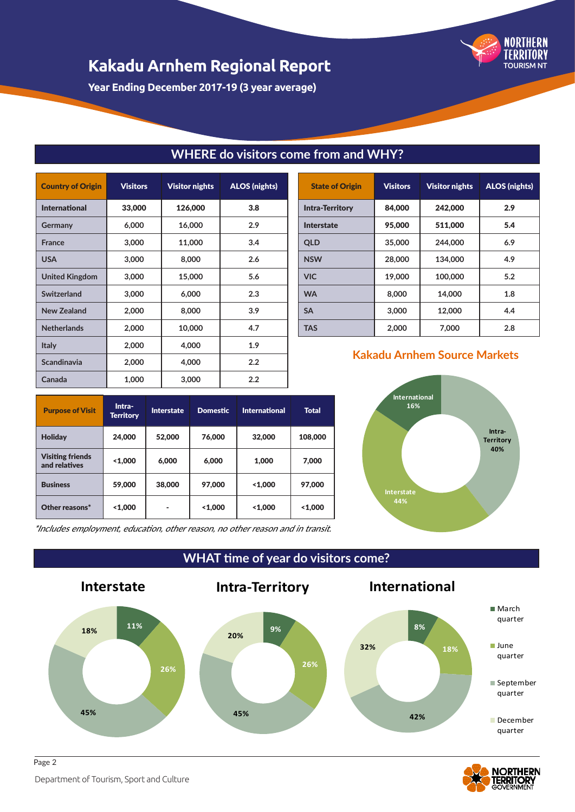

**Year Ending December 2017-19 (3 year average)**

| <b>Country of Origin</b> | <b>Visitors</b> | <b>Visitor nights</b> | <b>ALOS (nights)</b> |
|--------------------------|-----------------|-----------------------|----------------------|
| <b>International</b>     | 33,000          | 126,000               | 3.8                  |
| Germany                  | 6,000           | 16,000                | 2.9                  |
| <b>France</b>            | 3,000           | 11,000                | 3.4                  |
| <b>USA</b>               | 3,000           | 8,000                 | 2.6                  |
| <b>United Kingdom</b>    | 3,000           | 15,000                | 5.6                  |
| Switzerland              | 3,000           | 6,000                 | 2.3                  |
| <b>New Zealand</b>       | 2,000           | 8,000                 | 3.9                  |
| <b>Netherlands</b>       | 2,000           | 10,000                | 4.7                  |
| Italy                    | 2,000           | 4,000                 | 1.9                  |
| <b>Scandinavia</b>       | 2,000           | 4,000                 | 2.2                  |
| Canada                   | 1,000           | 3,000                 | 2.2                  |

### **WHERE do visitors come from and WHY?**

| <b>State of Origin</b> | <b>Visitors</b> | <b>Visitor nights</b> | <b>ALOS</b> (nights) |
|------------------------|-----------------|-----------------------|----------------------|
| <b>Intra-Territory</b> | 84,000          | 242,000               | 2.9                  |
| <b>Interstate</b>      | 95,000          | 511.000               | 5.4                  |
| <b>OLD</b>             | 35,000          | 244,000               | 6.9                  |
| <b>NSW</b>             | 28,000          | 134,000               | 4.9                  |
| <b>VIC</b>             | 19,000          | 100,000               | 5.2                  |
| <b>WA</b>              | 8,000           | 14,000                | 1.8                  |
| <b>SA</b>              | 3,000           | 12,000                | 4.4                  |
| TAS                    | 2,000           | 7,000                 | 2.8                  |

#### **Kakadu Arnhem Source Markets**

**International 16%**

| <b>Purpose of Visit</b>                  | Intra-<br><b>Territory</b> | <b>Interstate</b> | <b>Domestic</b> | <b>International</b> | <b>Total</b> |
|------------------------------------------|----------------------------|-------------------|-----------------|----------------------|--------------|
| <b>Holiday</b>                           | 24,000                     | 52,000            | 76,000          | 32,000               | 108,000      |
| <b>Visiting friends</b><br>and relatives | 1,000                      | 6,000             | 6,000           | 1,000                | 7,000        |
| <b>Business</b>                          | 59,000                     | 38,000            | 97,000          | 1,000                | 97,000       |
| Other reasons*                           | 1,000                      |                   | 1,000           | 1,000                | 1,000        |

**Intra-Territory 40% Interstate 44%**

\*Includes employment, education, other reason, no other reason and in transit.

**WHAT time of year do visitors come?**





Department of Tourism, Sport and Culture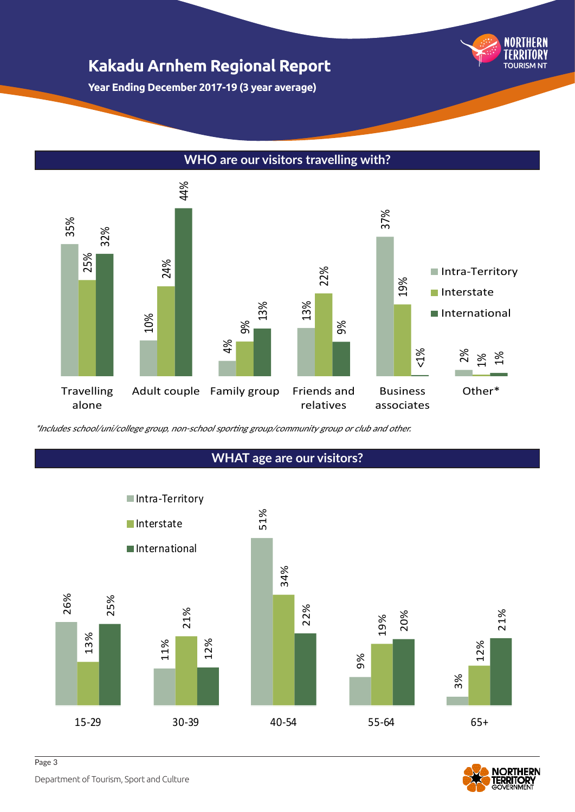**Year Ending December 2017-19 (3 year average)**

#### **WHO are our visitors travelling with?**





TOURISM NT

NORTHERN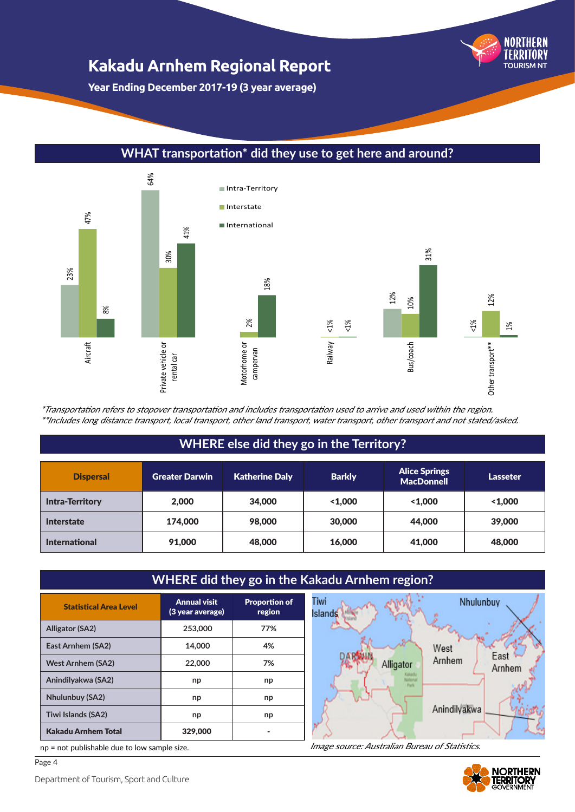**Year Ending December 2017-19 (3 year average)**

#### 64% Intra-Territory Interstate 47% International 41% 31% 30% 23% 18% 12% 12% 10% 8% 2% <1% <1% <1% 1% Motorhome or Railway Aircraft Bus/coach Other transport\*\* Private vehicle or Private vehicle or Motorhome or Other transport\*\* campervan rental car

#### **WHAT transportation\* did they use to get here and around?**

\*Transportation refers to stopover transportation and includes transportation used to arrive and used within the region. \*\*Includes long distance transport, local transport, other land transport, water transport, other transport and not stated/asked.

#### **WHERE else did they go in the Territory?**

| <b>Dispersal</b>       | <b>Greater Darwin</b> | <b>Katherine Daly</b> | <b>Barkly</b> | <b>Alice Springs</b><br><b>MacDonnell</b> | <b>Lasseter</b> |
|------------------------|-----------------------|-----------------------|---------------|-------------------------------------------|-----------------|
| <b>Intra-Territory</b> | 2.000                 | 34,000                | < 1.000       | < 1.000                                   | 1.000           |
| <b>Interstate</b>      | 174,000               | 98,000                | 30,000        | 44,000                                    | 39,000          |
| <b>International</b>   | 91,000                | 48,000                | 16,000        | 41,000                                    | 48,000          |

### **WHERE did they go in the Kakadu Arnhem region?**

| <b>Statistical Area Level</b> | <b>Annual visit</b><br>(3 year average) | <b>Proportion of</b><br>region |
|-------------------------------|-----------------------------------------|--------------------------------|
| <b>Alligator (SA2)</b>        | 253,000                                 | 77%                            |
| East Arnhem (SA2)             | 14.000                                  | 4%                             |
| <b>West Arnhem (SA2)</b>      | 22,000                                  | 7%                             |
| Anindilyakwa (SA2)            | np                                      | np                             |
| <b>Nhulunbuy (SA2)</b>        | np                                      | np                             |
| Tiwi Islands (SA2)            | np                                      | np                             |
| <b>Kakadu Arnhem Total</b>    | 329,000                                 |                                |

np = not publishable due to low sample size.



Image source: Australian Bureau of Statistics.



TOURISM NT

**NORTHERN**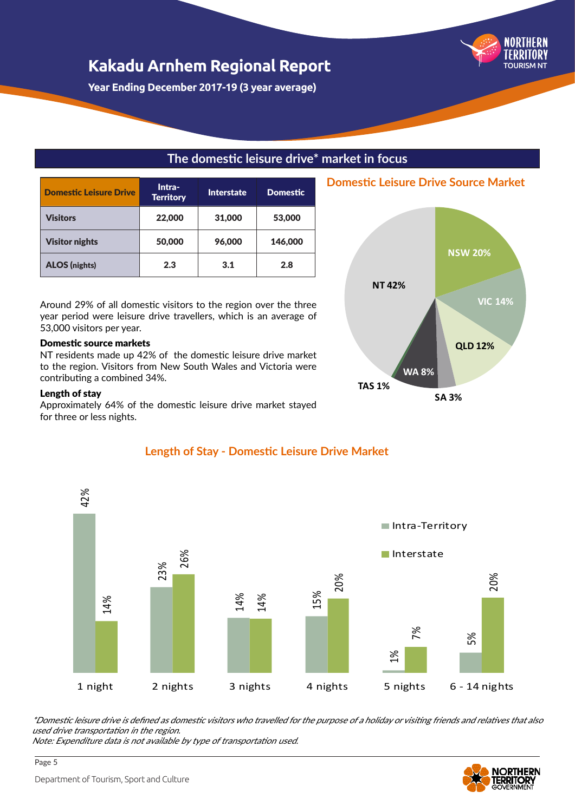**Year Ending December 2017-19 (3 year average)**

#### **The domestic leisure drive\* market in focus**

| <b>Domestic Leisure Drive</b> | Intra-<br><b>Interstate</b><br><b>Territory</b> |        | <b>Domestic</b> |
|-------------------------------|-------------------------------------------------|--------|-----------------|
| <b>Visitors</b>               | 22,000                                          | 31,000 | 53,000          |
| <b>Visitor nights</b>         | 50,000                                          | 96,000 | 146,000         |
| <b>ALOS</b> (nights)          | 2.3                                             | 3.1    | 2.8             |

Around 29% of all domestic visitors to the region over the three year period were leisure drive travellers, which is an average of 53,000 visitors per year.

#### Domestic source markets

NT residents made up 42% of the domestic leisure drive market to the region. Visitors from New South Wales and Victoria were contributing a combined 34%.

#### Length of stay

Approximately 64% of the domestic leisure drive market stayed for three or less nights.



#### **Length of Stay - Domestic Leisure Drive Market**

\*Domestic leisure drive is defined as domestic visitors who travelled for the purpose of a holiday or visiting friends and relatives that also used drive transportation in the region.



TOURISM NT

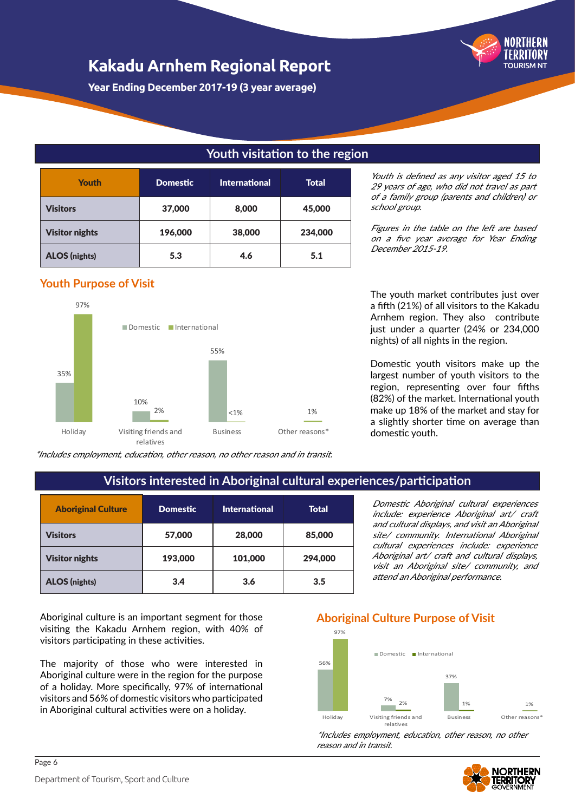**Year Ending December 2017-19 (3 year average)**

#### **Youth visitation to the region**

| <b>Youth</b>          | <b>Domestic</b> | <b>International</b> | <b>Total</b> |
|-----------------------|-----------------|----------------------|--------------|
| <b>Visitors</b>       | 37,000          | 8,000                | 45,000       |
| <b>Visitor nights</b> | 196,000         | 38,000               | 234,000      |
| <b>ALOS</b> (nights)  | 5.3             | 4.6                  | 5.1          |

#### **Youth Purpose of Visit**



\*Includes employment, education, other reason, no other reason and in transit.

Youth is defined as any visitor aged 15 to 29 years of age, who did not travel as part of a family group (parents and children) or school group.

TOURISM NT

Figures in the table on the left are based on a five year average for Year Ending December 2015-19.

The youth market contributes just over a fifth (21%) of all visitors to the Kakadu Arnhem region. They also contribute just under a quarter (24% or 234,000 nights) of all nights in the region.

Domestic youth visitors make up the largest number of youth visitors to the region, representing over four fifths (82%) of the market. International youth make up 18% of the market and stay for a slightly shorter time on average than domestic youth.

#### **Visitors interested in Aboriginal cultural experiences/participation**

| <b>Aboriginal Culture</b> | <b>Domestic</b> | <b>International</b> | Total   |
|---------------------------|-----------------|----------------------|---------|
| <b>Visitors</b>           | 57,000          | 28,000               | 85,000  |
| <b>Visitor nights</b>     | 193,000         | 101,000              | 294,000 |
| <b>ALOS</b> (nights)      | 3.4             | 3.6                  | 3.5     |

Aboriginal culture is an important segment for those visiting the Kakadu Arnhem region, with 40% of visitors participating in these activities.

The majority of those who were interested in Aboriginal culture were in the region for the purpose of a holiday. More specifically, 97% of international visitors and 56% of domestic visitors who participated in Aboriginal cultural activities were on a holiday.

Domestic Aboriginal cultural experiences include: experience Aboriginal art/ craft and cultural displays, and visit an Aboriginal site/ community. International Aboriginal cultural experiences include: experience Aboriginal art/ craft and cultural displays, visit an Aboriginal site/ community, and attend an Aboriginal performance.

#### **Aboriginal Culture Purpose of Visit**



\*Includes employment, education, other reason, no other reason and in transit.

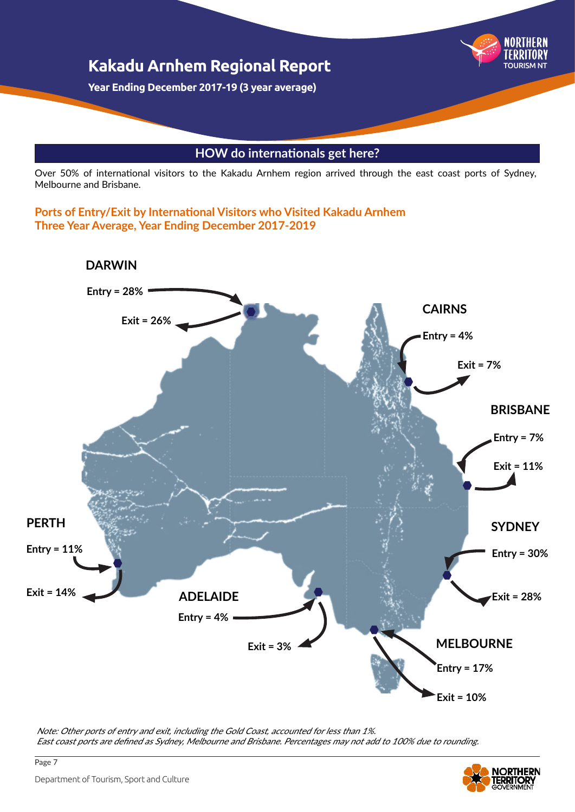

Over 50% of international visitors to the Kakadu Arnhem region arrived through the east coast ports of Sydney, Melbourne and Brisbane.

**Ports of Entry/Exit by International Visitors who Visited Kakadu Arnhem Three Year Average, Year Ending December 2017-2019**



Note: Other ports of entry and exit, including the Gold Coast, accounted for less than 1%. East coast ports are defined as Sydney, Melbourne and Brisbane. Percentages may not add to 100% due to rounding.

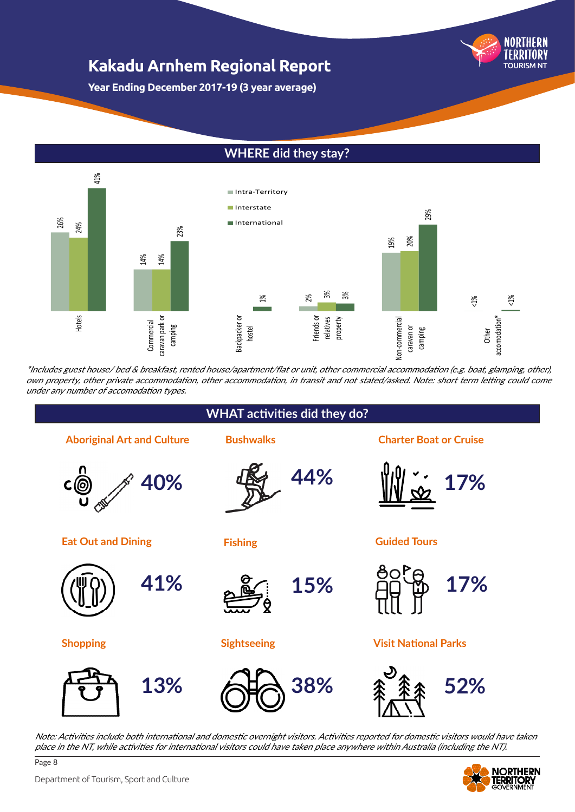NORTHFRN TOURISM NT

**Year Ending December 2017-19 (3 year average)**

#### **WHERE did they stay?**



\*Includes guest house/ bed & breakfast, rented house/apartment/flat or unit, other commercial accommodation (e.g. boat, glamping, other), own property, other private accommodation, other accommodation, in transit and not stated/asked. Note: short term letting could come under any number of accomodation types.



Note: Activities include both international and domestic overnight visitors. Activities reported for domestic visitors would have taken



Department of Tourism, Sport and Culture